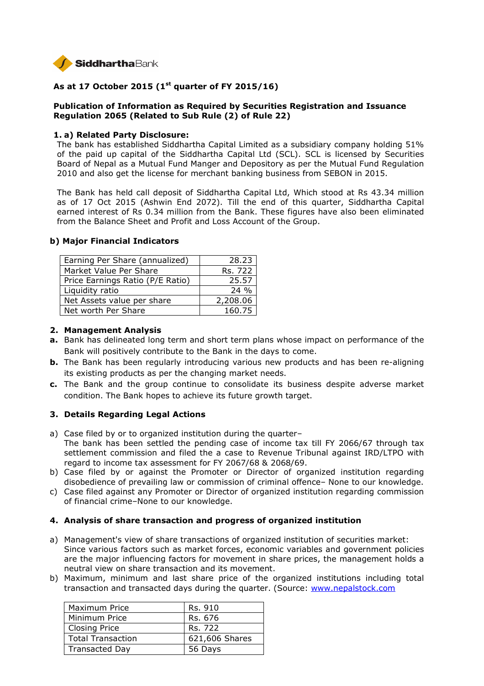

# **As at 17 October 2015 (1st quarter of FY 2015/16)**

## **Publication of Information as Required by Securities Registration and Issuance Regulation 2065 (Related to Sub Rule (2) of Rule 22)**

#### **1. a) Related Party Disclosure:**

The bank has established Siddhartha Capital Limited as a subsidiary company holding 51% of the paid up capital of the Siddhartha Capital Ltd (SCL). SCL is licensed by Securities Board of Nepal as a Mutual Fund Manger and Depository as per the Mutual Fund Regulation 2010 and also get the license for merchant banking business from SEBON in 2015.

The Bank has held call deposit of Siddhartha Capital Ltd, Which stood at Rs 43.34 million as of 17 Oct 2015 (Ashwin End 2072). Till the end of this quarter, Siddhartha Capital earned interest of Rs 0.34 million from the Bank. These figures have also been eliminated from the Balance Sheet and Profit and Loss Account of the Group.

| 28.23    |
|----------|
| Rs. 722  |
| 25.57    |
| $24\%$   |
| 2,208.06 |
| 160.75   |
|          |

#### **b) Major Financial Indicators**

#### **2. Management Analysis**

- **a.** Bank has delineated long term and short term plans whose impact on performance of the Bank will positively contribute to the Bank in the days to come.
- **b.** The Bank has been regularly introducing various new products and has been re-aligning its existing products as per the changing market needs.
- **c.** The Bank and the group continue to consolidate its business despite adverse market condition. The Bank hopes to achieve its future growth target.

## **3. Details Regarding Legal Actions**

- a) Case filed by or to organized institution during the quarter– The bank has been settled the pending case of income tax till FY 2066/67 through tax settlement commission and filed the a case to Revenue Tribunal against IRD/LTPO with regard to income tax assessment for FY 2067/68 & 2068/69.
- b) Case filed by or against the Promoter or Director of organized institution regarding disobedience of prevailing law or commission of criminal offence– None to our knowledge.
- c) Case filed against any Promoter or Director of organized institution regarding commission of financial crime–None to our knowledge.

## **4. Analysis of share transaction and progress of organized institution**

- a) Management's view of share transactions of organized institution of securities market: Since various factors such as market forces, economic variables and government policies are the major influencing factors for movement in share prices, the management holds a neutral view on share transaction and its movement.
- b) Maximum, minimum and last share price of the organized institutions including total transaction and transacted days during the quarter. (Source: www.nepalstock.com

| Maximum Price            | Rs. 910        |
|--------------------------|----------------|
| Minimum Price            | Rs. 676        |
| <b>Closing Price</b>     | Rs. 722        |
| <b>Total Transaction</b> | 621,606 Shares |
| <b>Transacted Day</b>    | 56 Days        |